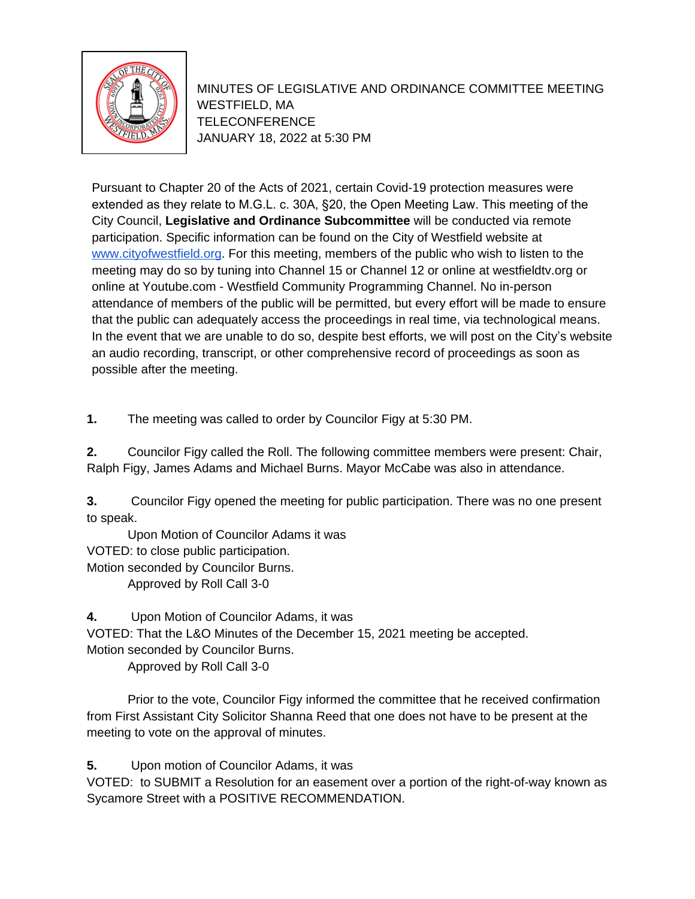

MINUTES OF LEGISLATIVE AND ORDINANCE COMMITTEE MEETING WESTFIELD, MA TELECONFERENCE JANUARY 18, 2022 at 5:30 PM

Pursuant to Chapter 20 of the Acts of 2021, certain Covid-19 protection measures were extended as they relate to M.G.L. c. 30A, §20, the Open Meeting Law. This meeting of the City Council, **Legislative and Ordinance Subcommittee** will be conducted via remote participation. Specific information can be found on the City of Westfield website at [www.cityofwestfield.org](http://www.cityofwestfield.org). For this meeting, members of the public who wish to listen to the meeting may do so by tuning into Channel 15 or Channel 12 or online at westfieldtv.org or online at Youtube.com - Westfield Community Programming Channel. No in-person attendance of members of the public will be permitted, but every effort will be made to ensure that the public can adequately access the proceedings in real time, via technological means. In the event that we are unable to do so, despite best efforts, we will post on the City's website an audio recording, transcript, or other comprehensive record of proceedings as soon as possible after the meeting.

**1.** The meeting was called to order by Councilor Figy at 5:30 PM.

**2.** Councilor Figy called the Roll. The following committee members were present: Chair, Ralph Figy, James Adams and Michael Burns. Mayor McCabe was also in attendance.

**3.** Councilor Figy opened the meeting for public participation. There was no one present to speak.

Upon Motion of Councilor Adams it was VOTED: to close public participation. Motion seconded by Councilor Burns. Approved by Roll Call 3-0

**4.** Upon Motion of Councilor Adams, it was

VOTED: That the L&O Minutes of the December 15, 2021 meeting be accepted.

Motion seconded by Councilor Burns.

Approved by Roll Call 3-0

Prior to the vote, Councilor Figy informed the committee that he received confirmation from First Assistant City Solicitor Shanna Reed that one does not have to be present at the meeting to vote on the approval of minutes.

**5.** Upon motion of Councilor Adams, it was

VOTED: to SUBMIT a Resolution for an easement over a portion of the right-of-way known as Sycamore Street with a POSITIVE RECOMMENDATION.